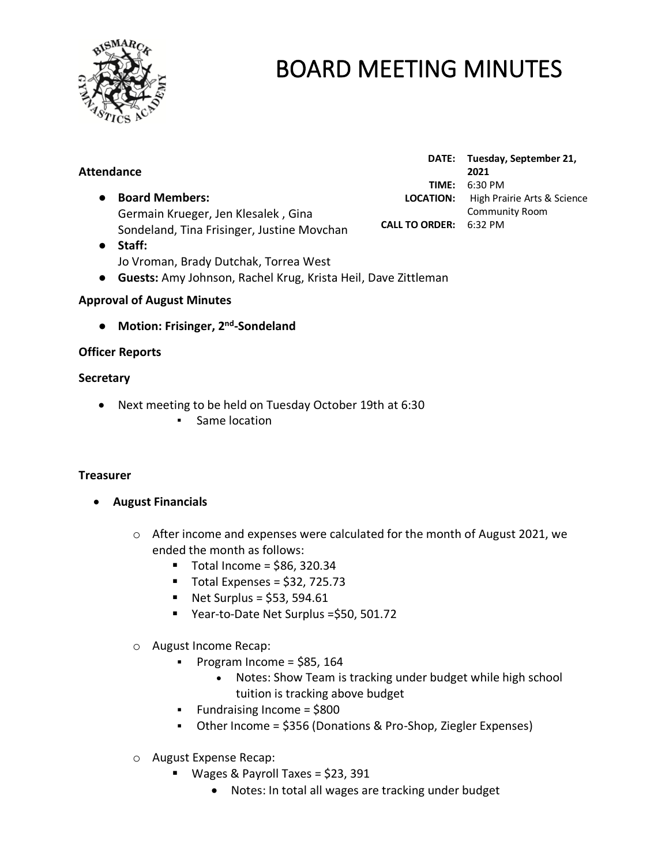

| <b>Attendance</b>                                                                 |                               | DATE: Tuesday, September 21,<br>2021 |
|-----------------------------------------------------------------------------------|-------------------------------|--------------------------------------|
|                                                                                   | TIME:                         | 6:30 PM                              |
| <b>Board Members:</b>                                                             | <b>LOCATION:</b>              | High Prairie Arts & Science          |
| Germain Krueger, Jen Klesalek, Gina                                               |                               | <b>Community Room</b>                |
| Sondeland, Tina Frisinger, Justine Movchan                                        | <b>CALL TO ORDER: 6:32 PM</b> |                                      |
| Staff:                                                                            |                               |                                      |
| Jo Vroman, Brady Dutchak, Torrea West                                             |                               |                                      |
| <b>Guests:</b> Amy Johnson, Rachel Krug, Krista Heil, Dave Zittleman<br>$\bullet$ |                               |                                      |

#### **Approval of August Minutes**

● Motion: Frisinger, 2<sup>nd</sup>-Sondeland

#### **Officer Reports**

#### **Secretary**

- Next meeting to be held on Tuesday October 19th at 6:30
	- Same location

#### **Treasurer**

- **August Financials** 
	- o After income and expenses were calculated for the month of August 2021, we ended the month as follows:
		- $\blacksquare$  Total Income = \$86, 320.34
		- $\blacksquare$  Total Expenses = \$32, 725.73
		- $\blacksquare$  Net Surplus = \$53, 594.61
		- Year-to-Date Net Surplus = \$50, 501.72
	- o August Income Recap:
		- $\blacksquare$  Program Income = \$85, 164
			- Notes: Show Team is tracking under budget while high school tuition is tracking above budget
		- Fundraising Income = \$800
		- Other Income = \$356 (Donations & Pro-Shop, Ziegler Expenses)
	- o August Expense Recap:
		- Wages & Payroll Taxes = \$23, 391
			- Notes: In total all wages are tracking under budget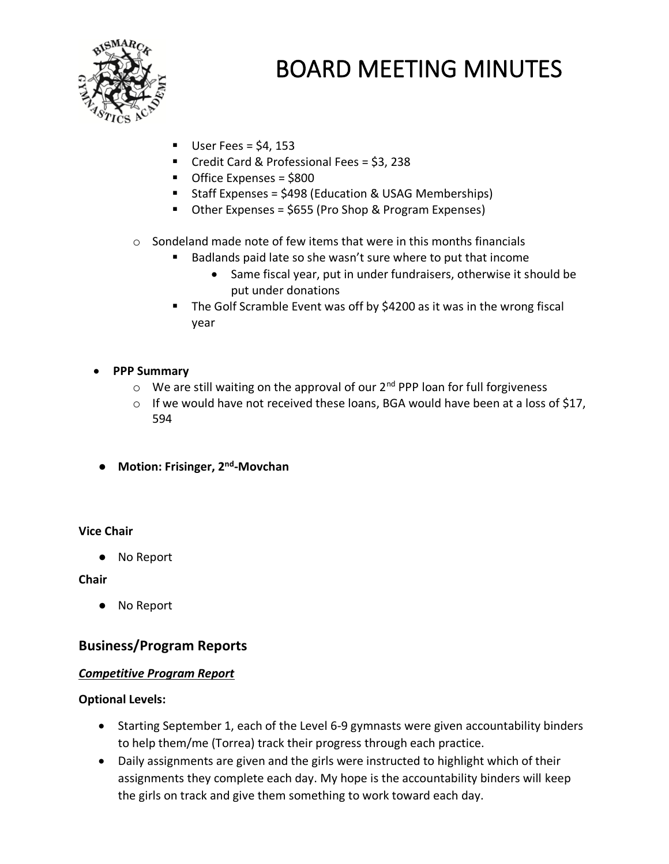

- $\blacksquare$  User Fees = \$4, 153
- Credit Card & Professional Fees = \$3, 238
- Office Expenses = \$800
- Staff Expenses = \$498 (Education & USAG Memberships)
- Other Expenses = \$655 (Pro Shop & Program Expenses)
- $\circ$  Sondeland made note of few items that were in this months financials
	- Badlands paid late so she wasn't sure where to put that income
		- Same fiscal year, put in under fundraisers, otherwise it should be put under donations
	- The Golf Scramble Event was off by \$4200 as it was in the wrong fiscal year

### • **PPP Summary**

- $\circ$  We are still waiting on the approval of our  $2^{nd}$  PPP loan for full forgiveness
- o If we would have not received these loans, BGA would have been at a loss of \$17, 594
- **Motion: Frisinger, 2nd -Movchan**

### **Vice Chair**

● No Report

**Chair**

● No Report

### **Business/Program Reports**

### *Competitive Program Report*

### **Optional Levels:**

- Starting September 1, each of the Level 6-9 gymnasts were given accountability binders to help them/me (Torrea) track their progress through each practice.
- Daily assignments are given and the girls were instructed to highlight which of their assignments they complete each day. My hope is the accountability binders will keep the girls on track and give them something to work toward each day.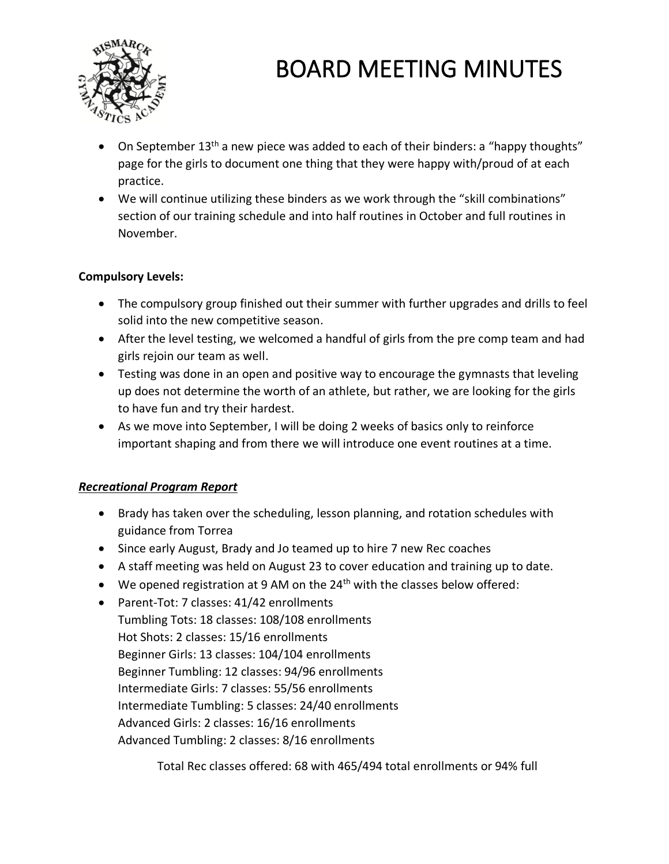

- On September 13<sup>th</sup> a new piece was added to each of their binders: a "happy thoughts" page for the girls to document one thing that they were happy with/proud of at each practice.
- We will continue utilizing these binders as we work through the "skill combinations" section of our training schedule and into half routines in October and full routines in November.

### **Compulsory Levels:**

- The compulsory group finished out their summer with further upgrades and drills to feel solid into the new competitive season.
- After the level testing, we welcomed a handful of girls from the pre comp team and had girls rejoin our team as well.
- Testing was done in an open and positive way to encourage the gymnasts that leveling up does not determine the worth of an athlete, but rather, we are looking for the girls to have fun and try their hardest.
- As we move into September, I will be doing 2 weeks of basics only to reinforce important shaping and from there we will introduce one event routines at a time.

### *Recreational Program Report*

- Brady has taken over the scheduling, lesson planning, and rotation schedules with guidance from Torrea
- Since early August, Brady and Jo teamed up to hire 7 new Rec coaches
- A staff meeting was held on August 23 to cover education and training up to date.
- We opened registration at 9 AM on the  $24<sup>th</sup>$  with the classes below offered:
- Parent-Tot: 7 classes: 41/42 enrollments Tumbling Tots: 18 classes: 108/108 enrollments Hot Shots: 2 classes: 15/16 enrollments Beginner Girls: 13 classes: 104/104 enrollments Beginner Tumbling: 12 classes: 94/96 enrollments Intermediate Girls: 7 classes: 55/56 enrollments Intermediate Tumbling: 5 classes: 24/40 enrollments Advanced Girls: 2 classes: 16/16 enrollments Advanced Tumbling: 2 classes: 8/16 enrollments

Total Rec classes offered: 68 with 465/494 total enrollments or 94% full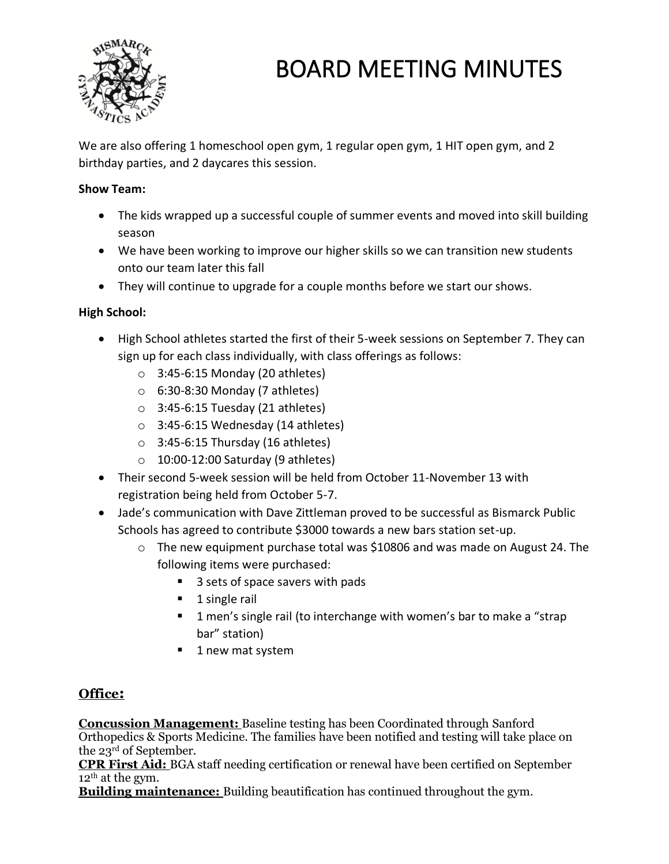

We are also offering 1 homeschool open gym, 1 regular open gym, 1 HIT open gym, and 2 birthday parties, and 2 daycares this session.

### **Show Team:**

- The kids wrapped up a successful couple of summer events and moved into skill building season
- We have been working to improve our higher skills so we can transition new students onto our team later this fall
- They will continue to upgrade for a couple months before we start our shows.

### **High School:**

- High School athletes started the first of their 5-week sessions on September 7. They can sign up for each class individually, with class offerings as follows:
	- $\circ$  3:45-6:15 Monday (20 athletes)
	- $\circ$  6:30-8:30 Monday (7 athletes)
	- $\circ$  3:45-6:15 Tuesday (21 athletes)
	- $\circ$  3:45-6:15 Wednesday (14 athletes)
	- $\circ$  3:45-6:15 Thursday (16 athletes)
	- $\circ$  10:00-12:00 Saturday (9 athletes)
- Their second 5-week session will be held from October 11-November 13 with registration being held from October 5-7.
- Jade's communication with Dave Zittleman proved to be successful as Bismarck Public Schools has agreed to contribute \$3000 towards a new bars station set-up.
	- $\circ$  The new equipment purchase total was \$10806 and was made on August 24. The following items were purchased:
		- 3 sets of space savers with pads
		- 1 single rail
		- 1 men's single rail (to interchange with women's bar to make a "strap bar" station)
		- 1 new mat system

### **Office:**

**Concussion Management:** Baseline testing has been Coordinated through Sanford Orthopedics & Sports Medicine. The families have been notified and testing will take place on the 23rd of September.

**CPR First Aid:** BGA staff needing certification or renewal have been certified on September  $12<sup>th</sup>$  at the gym.

**Building maintenance:** Building beautification has continued throughout the gym.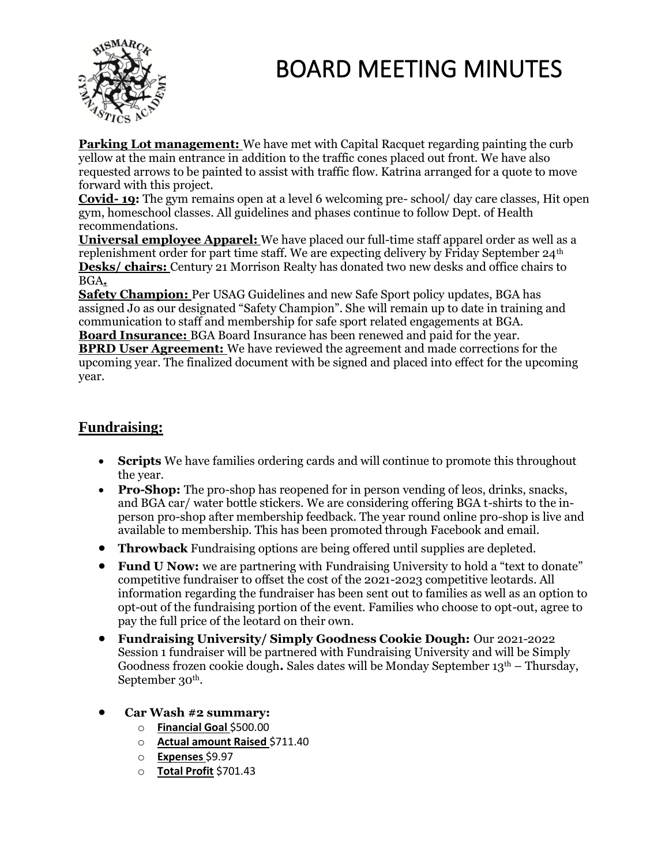

**Parking Lot management:** We have met with Capital Racquet regarding painting the curb yellow at the main entrance in addition to the traffic cones placed out front. We have also requested arrows to be painted to assist with traffic flow. Katrina arranged for a quote to move forward with this project.

**Covid- 19:** The gym remains open at a level 6 welcoming pre- school/ day care classes, Hit open gym, homeschool classes. All guidelines and phases continue to follow Dept. of Health recommendations.

**Universal employee Apparel:** We have placed our full-time staff apparel order as well as a replenishment order for part time staff. We are expecting delivery by Friday September 24th **Desks/ chairs:** Century 21 Morrison Realty has donated two new desks and office chairs to BGA**.** 

**Safety Champion:** Per USAG Guidelines and new Safe Sport policy updates, BGA has assigned Jo as our designated "Safety Champion". She will remain up to date in training and communication to staff and membership for safe sport related engagements at BGA. **Board Insurance:** BGA Board Insurance has been renewed and paid for the year.

**BPRD User Agreement:** We have reviewed the agreement and made corrections for the upcoming year. The finalized document with be signed and placed into effect for the upcoming year.

### **Fundraising:**

- **Scripts** We have families ordering cards and will continue to promote this throughout the year.
- **Pro-Shop:** The pro-shop has reopened for in person vending of leos, drinks, snacks, and BGA car/ water bottle stickers. We are considering offering BGA t-shirts to the inperson pro-shop after membership feedback. The year round online pro-shop is live and available to membership. This has been promoted through Facebook and email.
- **Throwback** Fundraising options are being offered until supplies are depleted.
- **Fund U Now:** we are partnering with Fundraising University to hold a "text to donate" competitive fundraiser to offset the cost of the 2021-2023 competitive leotards. All information regarding the fundraiser has been sent out to families as well as an option to opt-out of the fundraising portion of the event. Families who choose to opt-out, agree to pay the full price of the leotard on their own.
- **Fundraising University/ Simply Goodness Cookie Dough:** Our 2021-2022 Session 1 fundraiser will be partnered with Fundraising University and will be Simply Goodness frozen cookie dough**.** Sales dates will be Monday September 13th – Thursday, September 30<sup>th</sup>.
- **Car Wash #2 summary:**
	- o **Financial Goal** \$500.00
	- o **Actual amount Raised** \$711.40
	- o **Expenses** \$9.97
	- o **Total Profit** \$701.43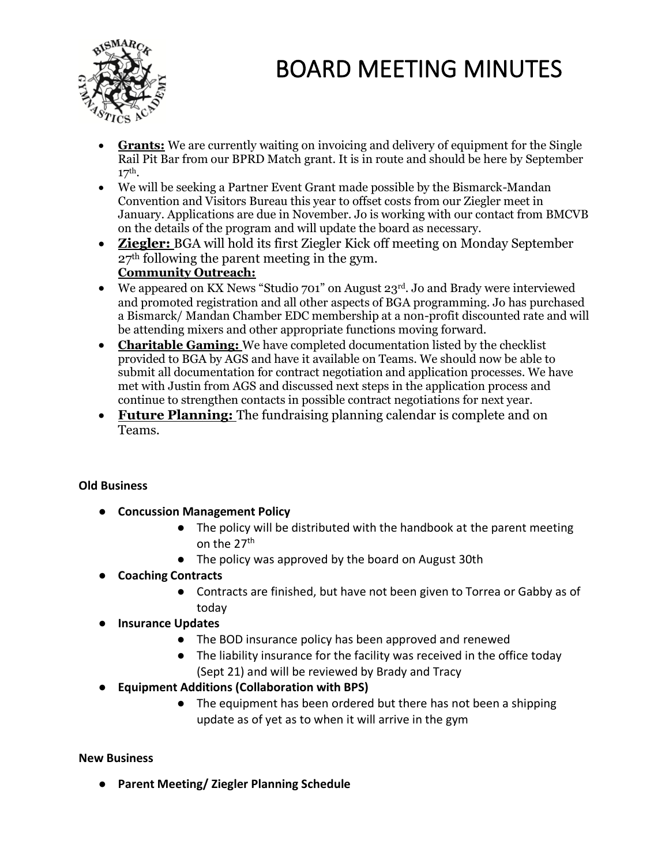

- **Grants:** We are currently waiting on invoicing and delivery of equipment for the Single Rail Pit Bar from our BPRD Match grant. It is in route and should be here by September  $17<sup>th</sup>$ .
- We will be seeking a Partner Event Grant made possible by the Bismarck-Mandan Convention and Visitors Bureau this year to offset costs from our Ziegler meet in January. Applications are due in November. Jo is working with our contact from BMCVB on the details of the program and will update the board as necessary.
- **Ziegler:** BGA will hold its first Ziegler Kick off meeting on Monday September 27th following the parent meeting in the gym. **Community Outreach:**
- We appeared on KX News "Studio 701" on August 23<sup>rd</sup>. Jo and Brady were interviewed and promoted registration and all other aspects of BGA programming. Jo has purchased a Bismarck/ Mandan Chamber EDC membership at a non-profit discounted rate and will be attending mixers and other appropriate functions moving forward.
- **Charitable Gaming:** We have completed documentation listed by the checklist provided to BGA by AGS and have it available on Teams. We should now be able to submit all documentation for contract negotiation and application processes. We have met with Justin from AGS and discussed next steps in the application process and continue to strengthen contacts in possible contract negotiations for next year.
- **Future Planning:** The fundraising planning calendar is complete and on Teams.

### **Old Business**

- **Concussion Management Policy**
	- The policy will be distributed with the handbook at the parent meeting on the 27th
	- The policy was approved by the board on August 30th
- **Coaching Contracts**
	- Contracts are finished, but have not been given to Torrea or Gabby as of today
- **Insurance Updates**
	- The BOD insurance policy has been approved and renewed
	- The liability insurance for the facility was received in the office today (Sept 21) and will be reviewed by Brady and Tracy
- **Equipment Additions (Collaboration with BPS)**
	- The equipment has been ordered but there has not been a shipping update as of yet as to when it will arrive in the gym

#### **New Business**

● **Parent Meeting/ Ziegler Planning Schedule**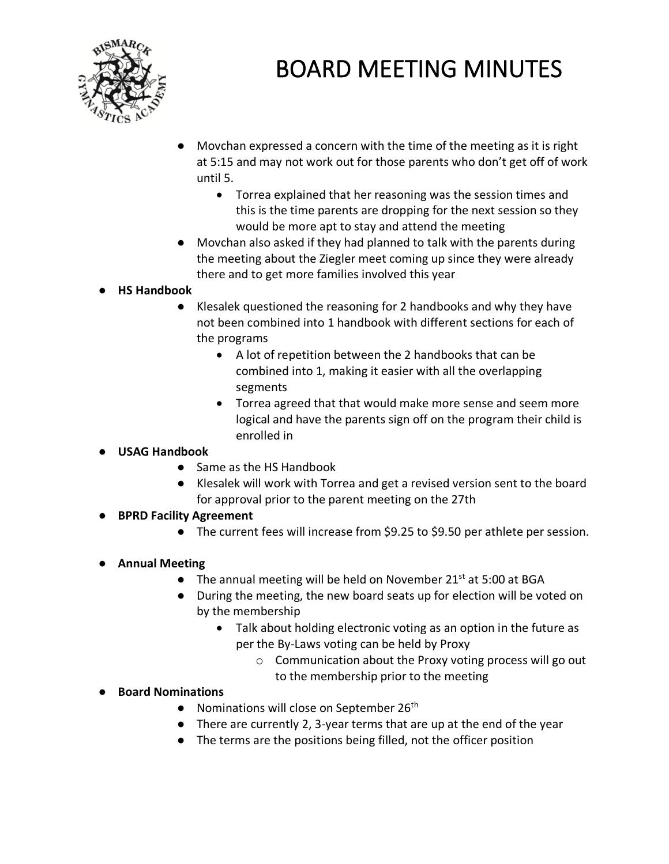

- Movchan expressed a concern with the time of the meeting as it is right at 5:15 and may not work out for those parents who don't get off of work until 5.
	- Torrea explained that her reasoning was the session times and this is the time parents are dropping for the next session so they would be more apt to stay and attend the meeting
- Movchan also asked if they had planned to talk with the parents during the meeting about the Ziegler meet coming up since they were already there and to get more families involved this year
- **HS Handbook**
	- Klesalek questioned the reasoning for 2 handbooks and why they have not been combined into 1 handbook with different sections for each of the programs
		- A lot of repetition between the 2 handbooks that can be combined into 1, making it easier with all the overlapping segments
		- Torrea agreed that that would make more sense and seem more logical and have the parents sign off on the program their child is enrolled in
- **USAG Handbook**
	- Same as the HS Handbook
	- Klesalek will work with Torrea and get a revised version sent to the board for approval prior to the parent meeting on the 27th
- **BPRD Facility Agreement**
	- The current fees will increase from \$9.25 to \$9.50 per athlete per session.
- **Annual Meeting**
	- The annual meeting will be held on November 21<sup>st</sup> at 5:00 at BGA
	- During the meeting, the new board seats up for election will be voted on by the membership
		- Talk about holding electronic voting as an option in the future as per the By-Laws voting can be held by Proxy
			- o Communication about the Proxy voting process will go out to the membership prior to the meeting
- **Board Nominations** 
	- Nominations will close on September 26<sup>th</sup>
	- There are currently 2, 3-year terms that are up at the end of the year
	- The terms are the positions being filled, not the officer position